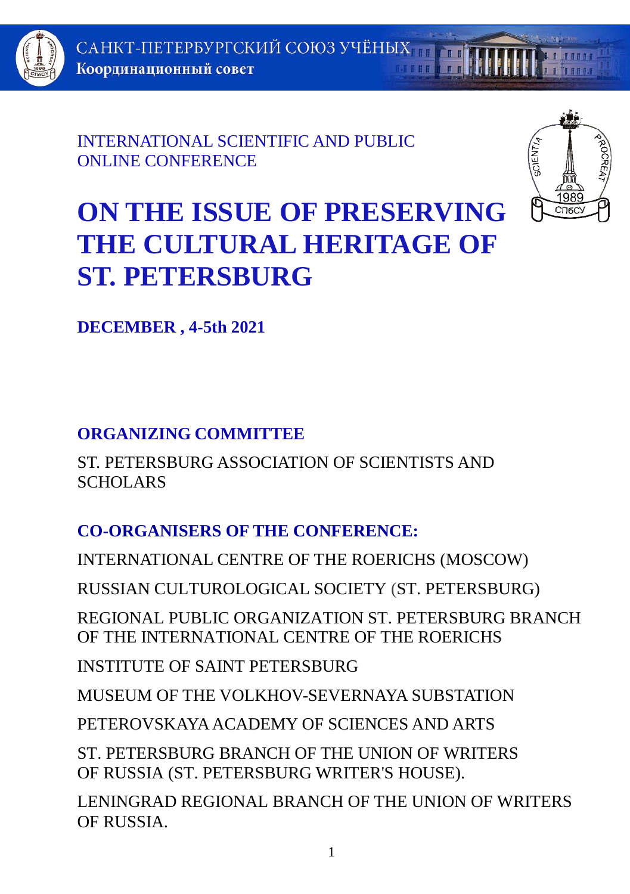

INTERNATIONAL SCIENTIFIC AND PUBLIC ONLINE CONFERENCE



# **ON THE ISSUE OF PRESERVING THE CULTURAL HERITAGE OF ST. PETERSBURG**

**DECEMBER , 4-5th 2021**

# **ORGANIZING COMMITTEE**

ST. PETERSBURG ASSOCIATION OF SCIENTISTS AND SCHOLARS

# **CO-ORGANISERS OF THE CONFERENCE:**

INTERNATIONAL CENTRE OF THE ROERICHS (MOSCOW)

RUSSIAN CULTUROLOGICAL SOCIETY (ST. PETERSBURG)

REGIONAL PUBLIC ORGANIZATION ST. PETERSBURG BRANCH OF THE INTERNATIONAL CENTRE OF THE ROERICHS

INSTITUTE OF SAINT PETERSBURG

MUSEUM OF THE VOLKHOV-SEVERNAYA SUBSTATION

PETEROVSKAYA ACADEMY OF SCIENCES AND ARTS

ST. PETERSBURG BRANCH OF THE UNION OF WRITERS OF RUSSIA (ST. PETERSBURG WRITER'S HOUSE).

LENINGRAD REGIONAL BRANCH OF THE UNION OF WRITERS OF RUSSIA.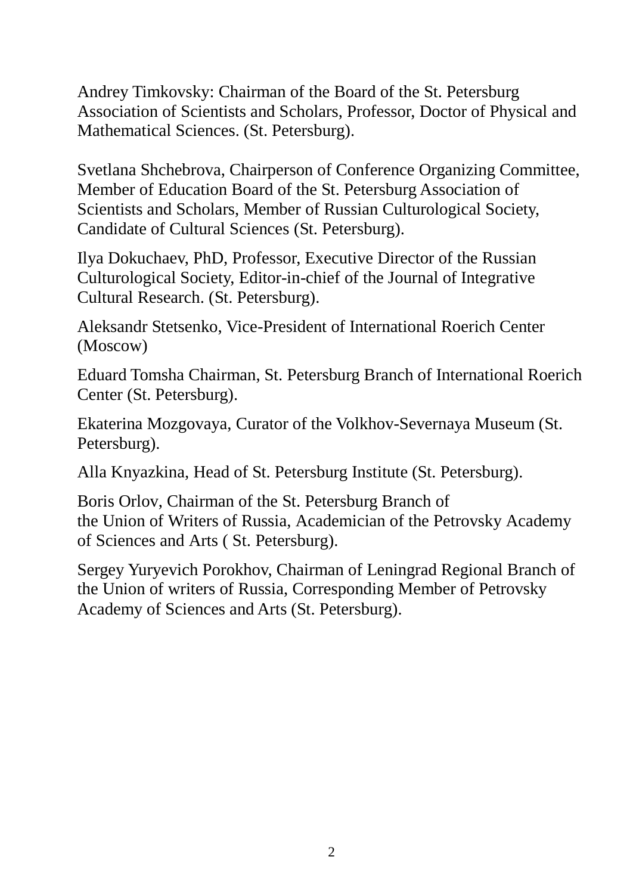Andrey Timkovsky: Chairman of the Board of the St. Petersburg Association of Scientists and Scholars, Professor, Doctor of Physical and Mathematical Sciences. (St. Petersburg).

Svetlana Shchebrova, Chairperson of Conference Organizing Committee, Member of Education Board of the St. Petersburg Association of Scientists and Scholars, Member of Russian Culturological Society, Candidate of Cultural Sciences (St. Petersburg).

Ilya Dokuchaev, PhD, Professor, Executive Director of the Russian Culturological Society, Editor-in-chief of the Journal of Integrative Cultural Research. (St. Petersburg).

Aleksandr Stetsenko, Vice-President of International Roerich Center (Moscow)

Eduard Tomsha Chairman, St. Petersburg Branch of International Roerich Center (St. Petersburg).

Ekaterina Mozgovaya, Curator of the Volkhov-Severnaya Museum (St. Petersburg).

Alla Knyazkina, Head of St. Petersburg Institute (St. Petersburg).

Boris Orlov, Chairman of the St. Petersburg Branch of the Union of Writers of Russia, Academician of the Petrovsky Academy of Sciences and Arts ( St. Petersburg).

Sergey Yuryevich Porokhov, Chairman of Leningrad Regional Branch of the Union of writers of Russia, Corresponding Member of Petrovsky Academy of Sciences and Arts (St. Petersburg).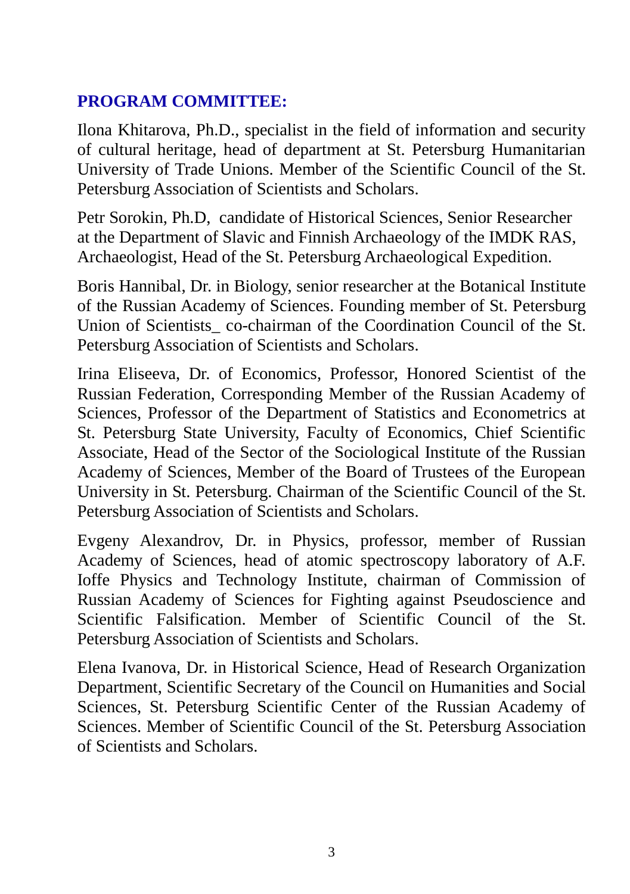## **PROGRAM COMMITTEE:**

Ilona Khitarova, Ph.D., specialist in the field of information and security of cultural heritage, head of department at St. Petersburg Humanitarian University of Trade Unions. Member of the Scientific Council of the St. Petersburg Association of Scientists and Scholars.

Petr Sorokin, Ph.D, candidate of Historical Sciences, Senior Researcher at the Department of Slavic and Finnish Archaeology of the IMDK RAS, Archaeologist, Head of the St. Petersburg Archaeological Expedition.

Boris Hannibal, Dr. in Biology, senior researcher at the Botanical Institute of the Russian Academy of Sciences. Founding member of St. Petersburg Union of Scientists co-chairman of the Coordination Council of the St. Petersburg Association of Scientists and Scholars.

Irina Eliseeva, Dr. of Economics, Professor, Honored Scientist of the Russian Federation, Corresponding Member of the Russian Academy of Sciences, Professor of the Department of Statistics and Econometrics at St. Petersburg State University, Faculty of Economics, Chief Scientific Associate, Head of the Sector of the Sociological Institute of the Russian Academy of Sciences, Member of the Board of Trustees of the European University in St. Petersburg. Chairman of the Scientific Council of the St. Petersburg Association of Scientists and Scholars.

Evgeny Alexandrov, Dr. in Physics, professor, member of Russian Academy of Sciences, head of atomic spectroscopy laboratory of A.F. Ioffe Physics and Technology Institute, chairman of Commission of Russian Academy of Sciences for Fighting against Pseudoscience and Scientific Falsification. Member of Scientific Council of the St. Petersburg Association of Scientists and Scholars.

Elena Ivanova, Dr. in Historical Science, Head of Research Organization Department, Scientific Secretary of the Council on Humanities and Social Sciences, St. Petersburg Scientific Center of the Russian Academy of Sciences. Member of Scientific Council of the St. Petersburg Association of Scientists and Scholars.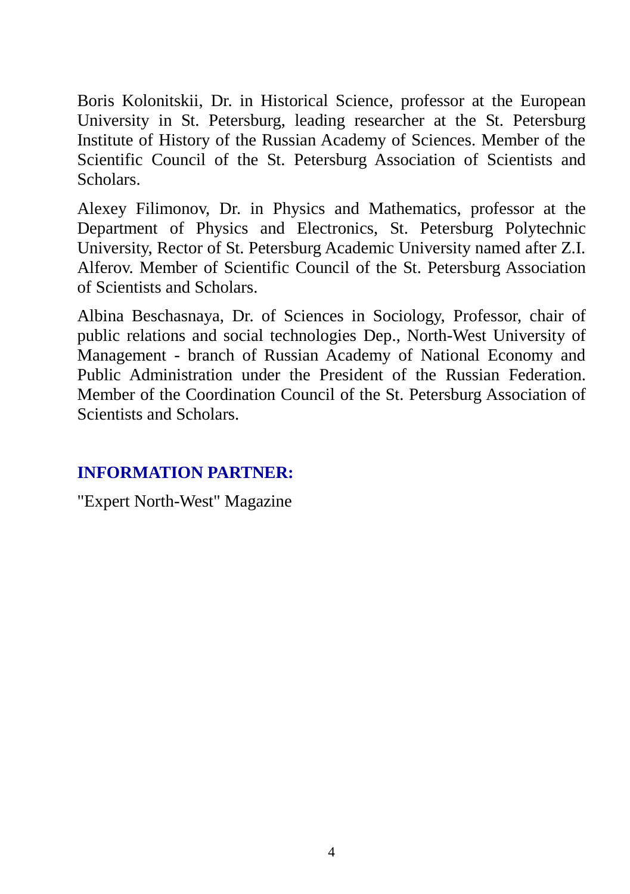Boris Kolonitskii, Dr. in Historical Science, professor at the European University in St. Petersburg, leading researcher at the St. Petersburg Institute of History of the Russian Academy of Sciences. Member of the Scientific Council of the St. Petersburg Association of Scientists and Scholars.

Alexey Filimonov, Dr. in Physics and Mathematics, professor at the Department of Physics and Electronics, St. Petersburg Polytechnic University, Rector of St. Petersburg Academic University named after Z.I. Alferov. Member of Scientific Council of the St. Petersburg Association of Scientists and Scholars.

Albina Beschasnaya, Dr. of Sciences in Sociology, Professor, chair of public relations and social technologies Dep., North-West University of Management - branch of Russian Academy of National Economy and Public Administration under the President of the Russian Federation. Member of the Coordination Council of the St. Petersburg Association of Scientists and Scholars.

## **INFORMATION PARTNER:**

"Expert North-West" Magazine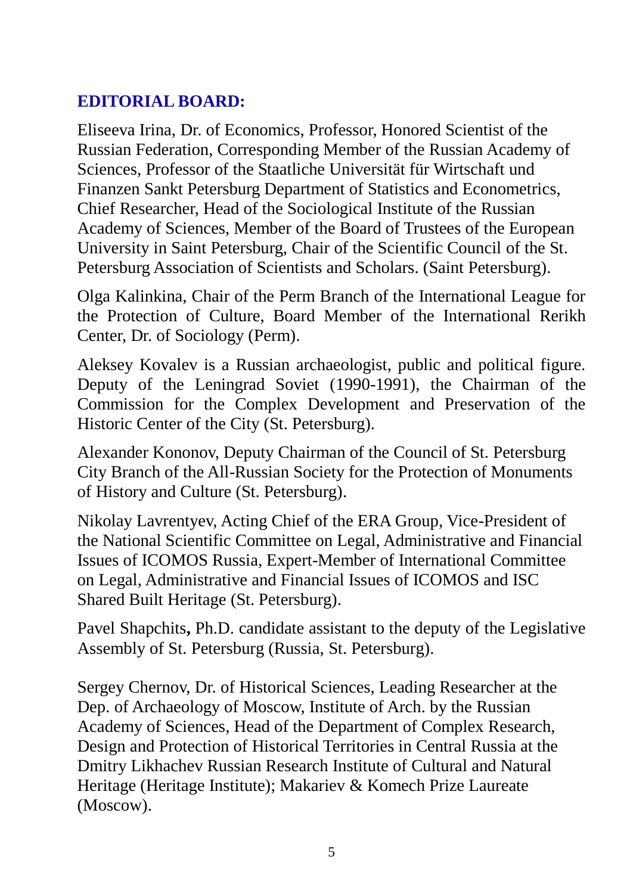## **EDITORIAL BOARD:**

Eliseeva Irina, Dr. of Economics, Professor, Honored Scientist of the Russian Federation, Corresponding Member of the Russian Academy of Sciences, Professor of the Staatliche Universität für Wirtschaft und Finanzen Sankt Petersburg Department of Statistics and Econometrics, Chief Researcher, Head of the Sociological Institute of the Russian Academy of Sciences, Member of the Board of Trustees of the European University in Saint Petersburg, Chair of the Scientific Council of the St. Petersburg Association of Scientists and Scholars. (Saint Petersburg).

Olga Kalinkina, Chair of the Perm Branch of the International League for the Protection of Culture, Board Member of the International Rerikh Center, Dr. of Sociology (Perm).

Aleksey Kovalev is a Russian archaeologist, public and political figure. Deputy of the Leningrad Soviet (1990-1991), the Chairman of the Commission for the Complex Development and Preservation of the Historic Center of the City (St. Petersburg).

Alexander Kononov, Deputy Chairman of the Council of St. Petersburg City Branch of the All-Russian Society for the Protection of Monuments of History and Culture (St. Petersburg).

Nikolay Lavrentyev, Acting Chief of the ERA Group, Vice-President of the National Scientific Committee on Legal, Administrative and Financial Issues of ICOMOS Russia, Expert-Member of International Committee on Legal, Administrative and Financial Issues of ICOMOS and ISC Shared Built Heritage (St. Petersburg).

Pavel Shapchits**,** Ph.D. candidate assistant to the deputy of the Legislative Assembly of St. Petersburg (Russia, St. Petersburg).

Sergey Chernov, Dr. of Historical Sciences, Leading Researcher at the Dep. of Archaeology of Moscow, Institute of Arch. by the Russian Academy of Sciences, Head of the Department of Complex Research, Design and Protection of Historical Territories in Central Russia at the Dmitry Likhachev Russian Research Institute of Cultural and Natural Heritage (Heritage Institute); Makariev & Komech Prize Laureate (Moscow).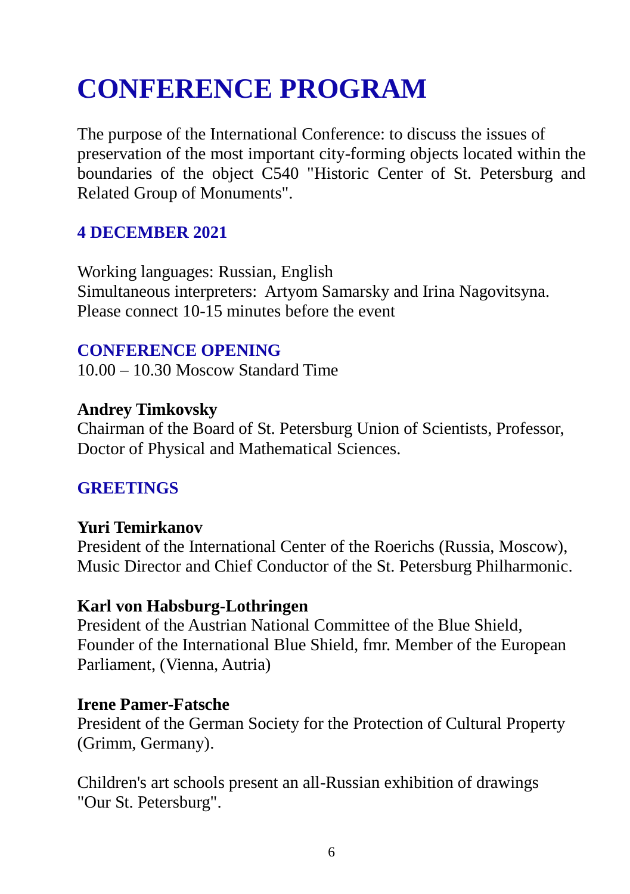# **CONFERENCE PROGRAM**

The purpose of the International Conference: to discuss the issues of preservation of the most important city-forming objects located within the boundaries of the object C540 "Historic Center of St. Petersburg and Related Group of Monuments".

#### **4 DECEMBER 2021**

Working languages: Russian, English Simultaneous interpreters: Artyom Samarsky and Irina Nagovitsyna. Please connect 10-15 minutes before the event

#### **CONFERENCE OPENING**

10.00 – 10.30 Moscow Standard Time

#### **Andrey Timkovsky**

Chairman of the Board of St. Petersburg Union of Scientists, Professor, Doctor of Physical and Mathematical Sciences.

## **GREETINGS**

#### **Yuri Temirkanov**

President of the International Center of the Roerichs (Russia, Moscow), Music Director and Chief Conductor of the St. Petersburg Philharmonic.

#### **Karl von Habsburg-Lothringen**

President of the Austrian National Committee of the Blue Shield, Founder of the International Blue Shield, fmr. Member of the European Parliament, (Vienna, Autria)

#### **Irene Pamer-Fatsche**

President of the German Society for the Protection of Cultural Property (Grimm, Germany).

Children's art schools present an all-Russian exhibition of drawings "Our St. Petersburg".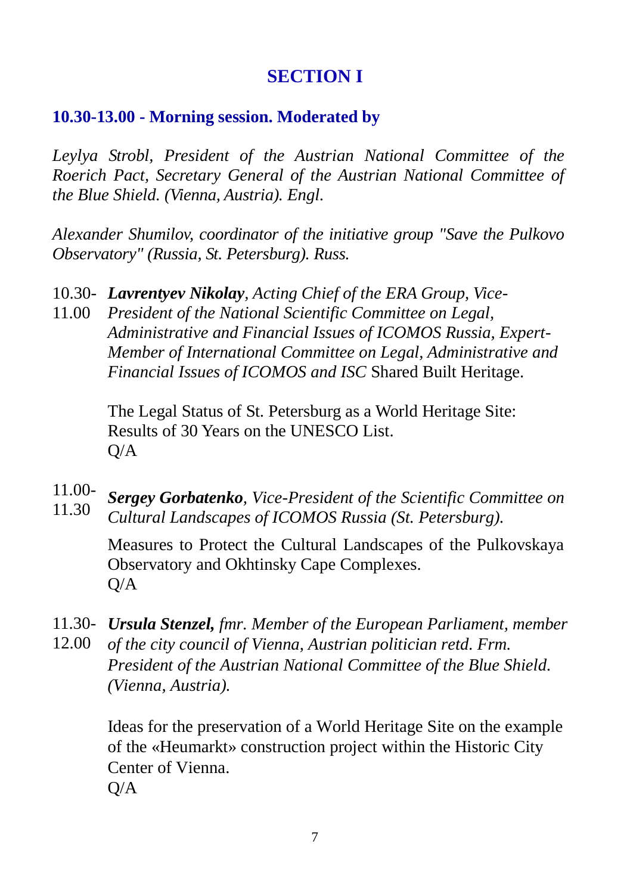# **SECTION I**

#### **10.30-13.00 - Morning session. Moderated by**

*Leylya Strobl, President of the Austrian National Committee of the Roerich Pact, Secretary General of the Austrian National Committee of the Blue Shield. (Vienna, Austria). Engl.*

*Alexander Shumilov, coordinator of the initiative group "Save the Pulkovo Observatory" (Russia, St. Petersburg). Russ.*

- 10.30- *Lavrentyev Nikolay, Acting Chief of the ERA Group, Vice-*
- 11.00 *President of the National Scientific Committee on Legal, Administrative and Financial Issues of ICOMOS Russia, Expert-Member of International Committee on Legal, Administrative and Financial Issues of ICOMOS and ISC* Shared Built Heritage.

The Legal Status of St. Petersburg as a World Heritage Site: Results of 30 Years on the UNESCO List. Q/A

11.00- 11.30 *Sergey Gorbatenko, Vice-President of the Scientific Committee on Cultural Landscapes of ICOMOS Russia (St. Petersburg).*

> Measures to Protect the Cultural Landscapes of the Pulkovskaya Observatory and Okhtinsky Cape Complexes.  $O/A$

- 11.30- *Ursula Stenzel, fmr. Member of the European Parliament, member*  12.00 *of the city council of Vienna, Austrian politician retd. Frm.* 
	- *President of the Austrian National Committee of the Blue Shield. (Vienna, Austria).*

Ideas for the preservation of a World Heritage Site on the example of the «Heumarkt» construction project within the Historic City Center of Vienna. Q/A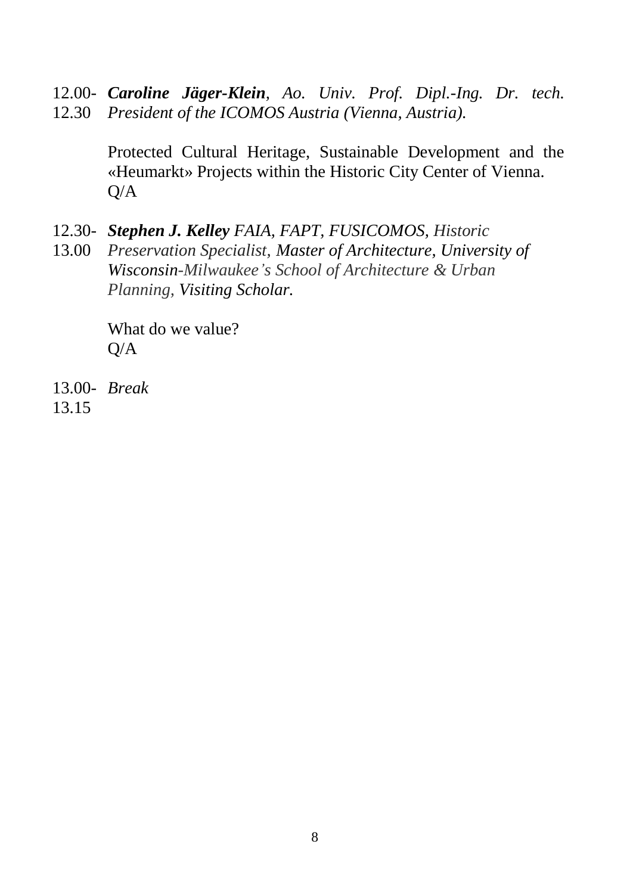12.00- *Caroline Jäger-Klein, Ao. Univ. Prof. Dipl.-Ing. Dr. tech.*  12.30 *President of the ICOMOS Austria (Vienna, Austria).*

> Protected Cultural Heritage, Sustainable Development and the «Heumarkt» Projects within the Historic City Center of Vienna.  $O/A$

- 12.30- *Stephen J. Kelley FAIA, FAPT, FUSICOMOS, Historic*
- 13.00 *Preservation Specialist, Master of Architecture, University of Wisconsin-Milwaukee's School of Architecture & Urban Planning, Visiting Scholar.*

What do we value?  $O/A$ 

13.00- *Break*13.15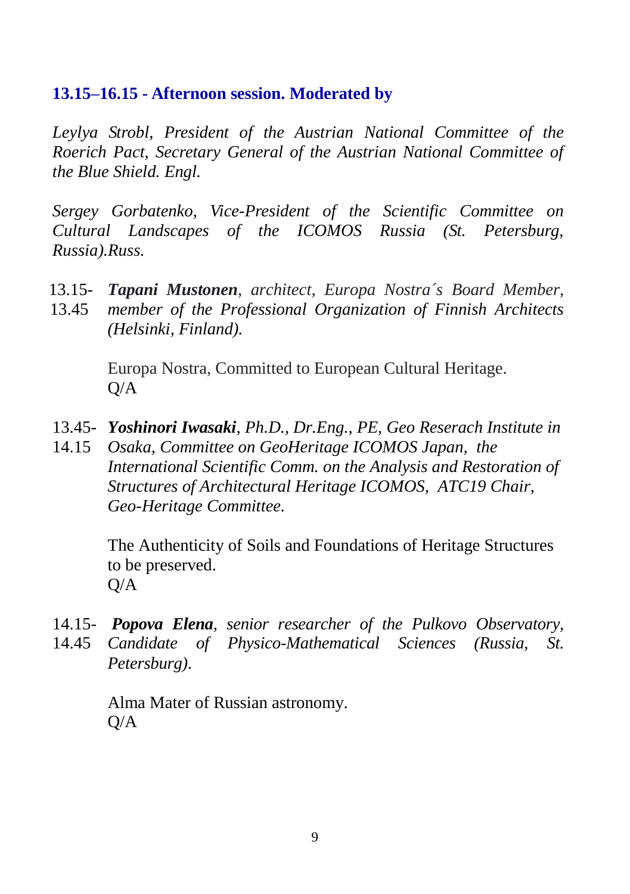#### **13.15–16.15 - Afternoon session. Moderated by**

*Leylya Strobl, President of the Austrian National Committee of the Roerich Pact, Secretary General of the Austrian National Committee of the Blue Shield. Engl.*

*Sergey Gorbatenko, Vice-President of the Scientific Committee on Cultural Landscapes of the ICOMOS Russia (St. Petersburg, Russia).Russ.*

- 13.15- *Tapani Mustonen, architect, Europa Nostra´s Board Member,* 
	- 13.45 *member of the Professional Organization of Finnish Architects (Helsinki, Finland).*

Europa Nostra, Committed to European Cultural Heritage.  $O/A$ 

- 13.45- *Yoshinori Iwasaki, Ph.D., Dr.Eng., PE, Geo Reserach Institute in*
- 14.15 *Osaka, Committee on GeoHeritage ICOMOS Japan, the International Scientific Comm. on the Analysis and Restoration of Structures of Architectural Heritage ICOMOS, ATC19 Chair, Geo-Heritage Committee.*

The Authenticity of Soils and Foundations of Heritage Structures to be preserved.  $Q/A$ 

14.15- *Popova Elena, senior researcher of the Pulkovo Observatory,*  14.45 *Candidate of Physico-Mathematical Sciences (Russia, St. Petersburg)*.

> Alma Mater of Russian astronomy. Q/A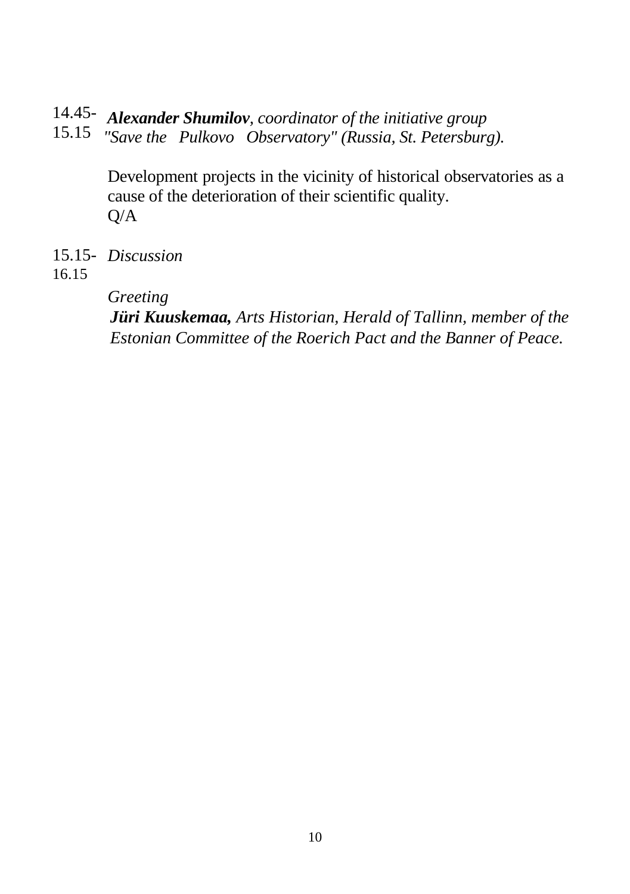# 14.45-  *Alexander Shumilov, coordinator of the initiative group*

15.15 *"Save the Pulkovo Observatory" (Russia, St. Petersburg).*

Development projects in the vicinity of historical observatories as a cause of the deterioration of their scientific quality. Q/A

15.15- *Discussion*

16.15

*Greeting*

*Jüri Kuuskemaa, Arts Historian, Herald of Tallinn, member of the Estonian Committee of the Roerich Pact and the Banner of Peace.*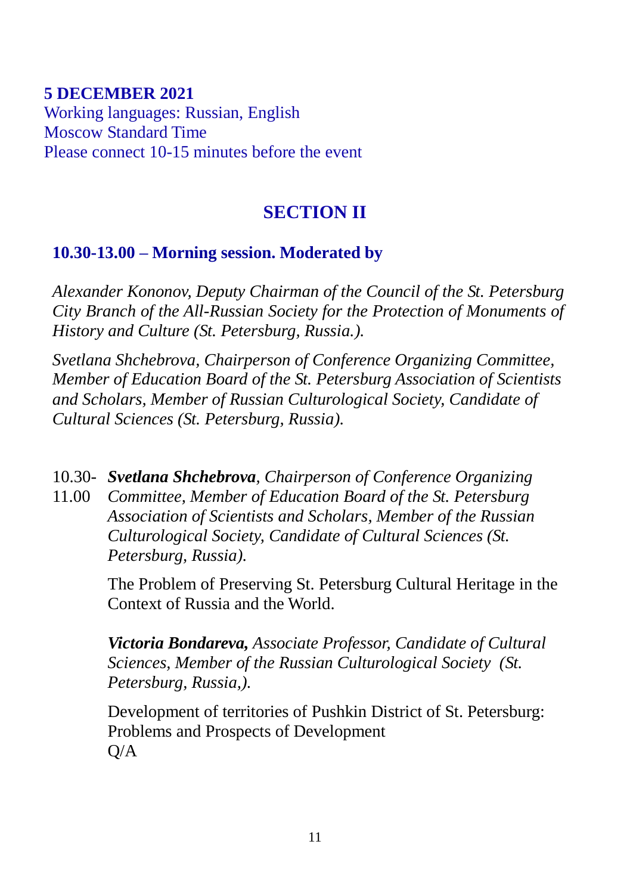#### **5 DECEMBER 2021** Working languages: Russian, English Moscow Standard Time

Please connect 10-15 minutes before the event

# **SECTION II**

## **10.30-13.00 – Morning session. Moderated by**

*Alexander Kononov, Deputy Chairman of the Council of the St. Petersburg City Branch of the All-Russian Society for the Protection of Monuments of History and Culture (St. Petersburg, Russia.).*

*Svetlana Shchebrova, Chairperson of Conference Organizing Committee, Member of Education Board of the St. Petersburg Association of Scientists and Scholars, Member of Russian Culturological Society, Candidate of Cultural Sciences (St. Petersburg, Russia).*

10.30- *Svetlana Shchebrova, Chairperson of Conference Organizing* 

11.00 *Committee, Member of Education Board of the St. Petersburg Association of Scientists and Scholars, Member of the Russian Culturological Society, Candidate of Cultural Sciences (St. Petersburg, Russia).*

> The Problem of Preserving St. Petersburg Cultural Heritage in the Context of Russia and the World.

*Victoria Bondareva, Associate Professor, Candidate of Cultural Sciences, Member of the Russian Culturological Society (St. Petersburg, Russia,).*

Development of territories of Pushkin District of St. Petersburg: Problems and Prospects of Development  $Q/A$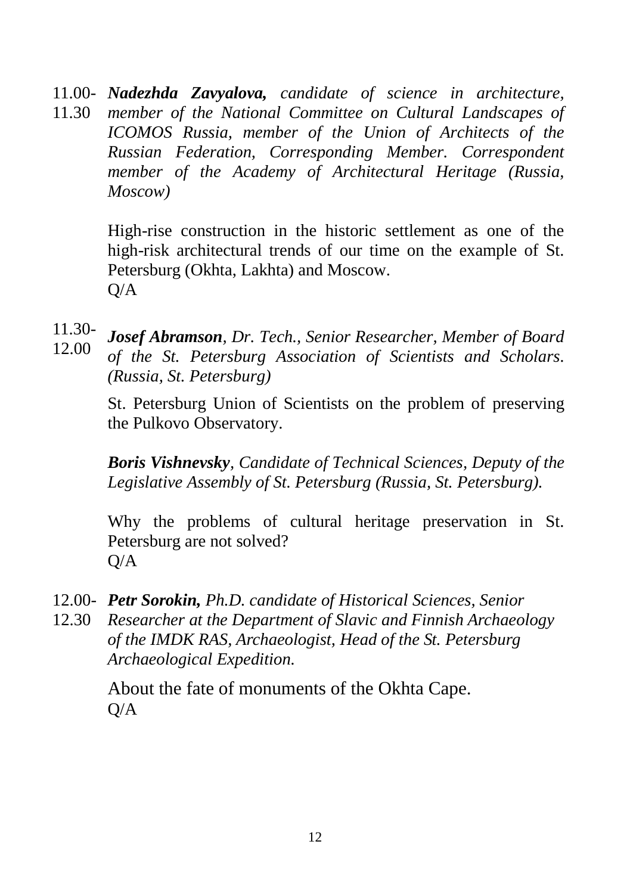11.00- *Nadezhda Zavyalova, candidate of science in architecture,*  11.30 *member of the National Committee on Cultural Landscapes of ICOMOS Russia, member of the Union of Architects of the Russian Federation, Corresponding Member. Correspondent member of the Academy of Architectural Heritage (Russia, Moscow)*

> High-rise construction in the historic settlement as one of the high-risk architectural trends of our time on the example of St. Petersburg (Okhta, Lakhta) and Moscow.  $Q/A$

11.30- 12.00 *Josef Abramson, Dr. Tech., Senior Researcher, Member of Board of the St. Petersburg Association of Scientists and Scholars. (Russia, St. Petersburg)*

> St. Petersburg Union of Scientists on the problem of preserving the Pulkovo Observatory.

> *Boris Vishnevsky, Candidate of Technical Sciences, Deputy of the Legislative Assembly of St. Petersburg (Russia, St. Petersburg).*

> Why the problems of cultural heritage preservation in St. Petersburg are not solved?  $Q/A$

- 12.00- *Petr Sorokin, Ph.D. candidate of Historical Sciences, Senior*
- 12.30 *Researcher at the Department of Slavic and Finnish Archaeology of the IMDK RAS, Archaeologist, Head of the St. Petersburg Archaeological Expedition.*

About the fate of monuments of the Okhta Cape.  $O/A$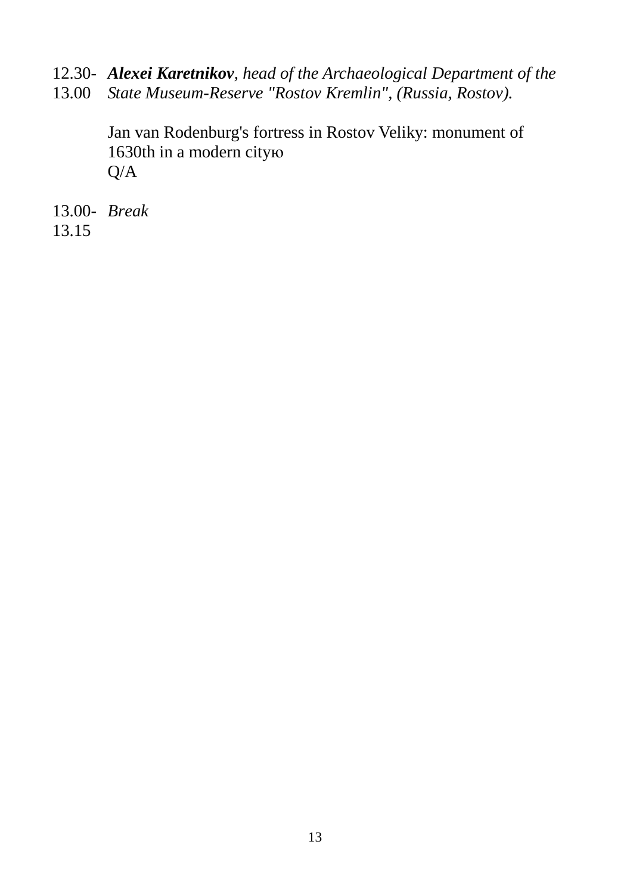- 12.30- *Alexei Karetnikov, head of the Archaeological Department of the*
- 13.00 *State Museum-Reserve "Rostov Kremlin", (Russia, Rostov).*

Jan van Rodenburg's fortress in Rostov Veliky: monument of 1630th in a modern cityю Q/A

13.00- *Break*13.15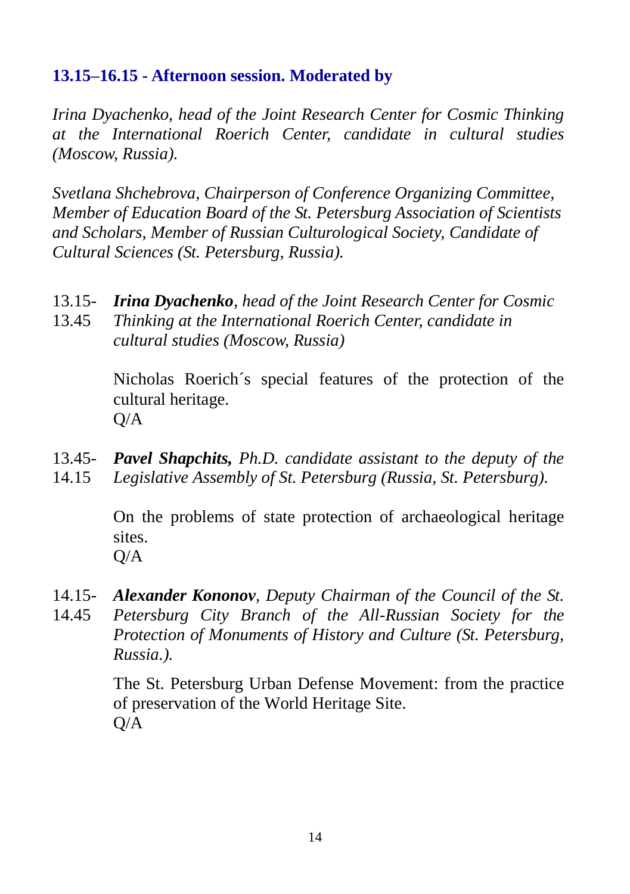## **13.15–16.15 - Afternoon session. Moderated by**

*Irina Dyachenko, head of the Joint Research Center for Cosmic Thinking at the International Roerich Center, candidate in cultural studies (Moscow, Russia).*

*Svetlana Shchebrova, Chairperson of Conference Organizing Committee, Member of Education Board of the St. Petersburg Association of Scientists and Scholars, Member of Russian Culturological Society, Candidate of Cultural Sciences (St. Petersburg, Russia).*

- 13.15- *Irina Dyachenko, head of the Joint Research Center for Cosmic*
- 13.45 *Thinking at the International Roerich Center, candidate in cultural studies (Moscow, Russia)*

Nicholas Roerich´s special features of the protection of the cultural heritage.  $Q/A$ 

13.45- *Pavel Shapchits, Ph.D. candidate assistant to the deputy of the*  14.15 *Legislative Assembly of St. Petersburg (Russia, St. Petersburg).*

> On the problems of state protection of archaeological heritage sites. Q/A

- 14.15- *Alexander Kononov, Deputy Chairman of the Council of the St.*
- 14.45 *Petersburg City Branch of the All-Russian Society for the Protection of Monuments of History and Culture (St. Petersburg, Russia.).*

The St. Petersburg Urban Defense Movement: from the practice of preservation of the World Heritage Site. Q/A